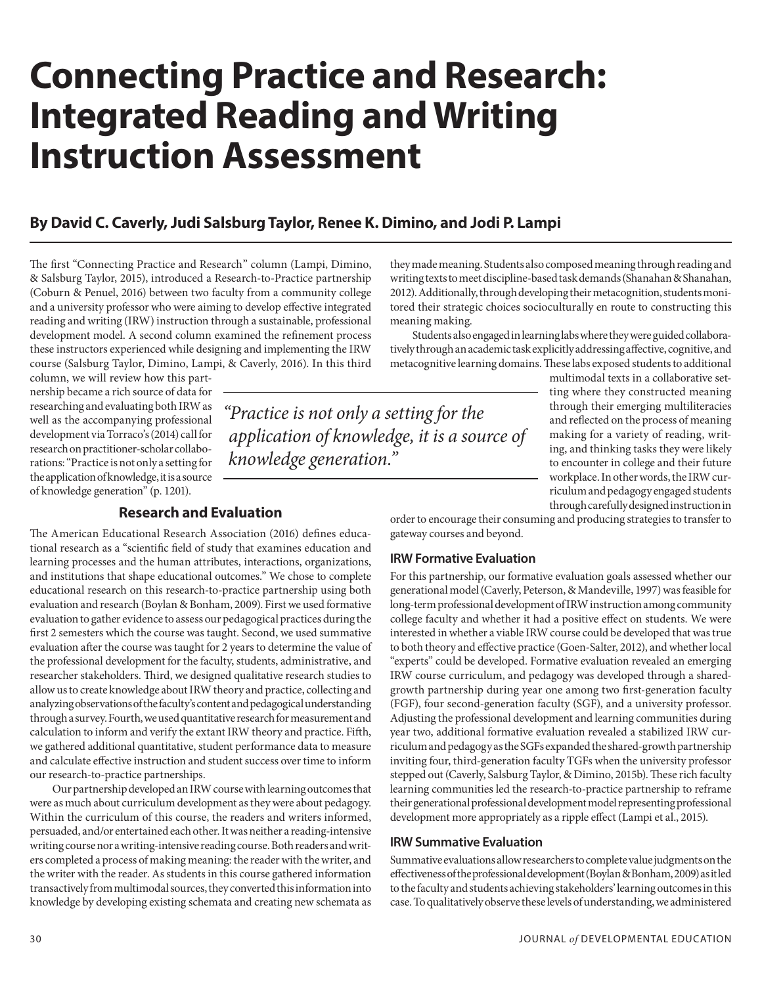# **Connecting Practice and Research: Integrated Reading and Writing Instruction Assessment**

## **By David C. Caverly, Judi Salsburg Taylor, Renee K. Dimino, and Jodi P. Lampi**

The first "Connecting Practice and Research" column (Lampi, Dimino, & Salsburg Taylor, 2015), introduced a Research-to-Practice partnership (Coburn & Penuel, 2016) between two faculty from a community college and a university professor who were aiming to develop effective integrated reading and writing (IRW) instruction through a sustainable, professional development model. A second column examined the refinement process these instructors experienced while designing and implementing the IRW course (Salsburg Taylor, Dimino, Lampi, & Caverly, 2016). In this third

column, we will review how this partnership became a rich source of data for researching and evaluating both IRW as well as the accompanying professional development via Torraco's (2014) call for research on practitioner-scholar collaborations: "Practice is not only a setting for the application of knowledge, it is a source of knowledge generation" (p. 1201).

"Practice is not only a setting for the application of knowledge, it is a source of knowledge generation."

## **Research and Evaluation**

The American Educational Research Association (2016) defines educational research as a "scientific field of study that examines education and learning processes and the human attributes, interactions, organizations, and institutions that shape educational outcomes." We chose to complete educational research on this research-to-practice partnership using both evaluation and research (Boylan & Bonham, 2009). First we used formative evaluation to gather evidence to assess our pedagogical practices during the first 2 semesters which the course was taught. Second, we used summative evaluation after the course was taught for 2 years to determine the value of the professional development for the faculty, students, administrative, and researcher stakeholders. Third, we designed qualitative research studies to allow us to create knowledge about IRW theory and practice, collecting and analyzing observations of the faculty's content and pedagogical understanding through a survey. Fourth, we used quantitative research for measurement and calculation to inform and verify the extant IRW theory and practice. Fifth, we gathered additional quantitative, student performance data to measure and calculate effective instruction and student success over time to inform our research-to-practice partnerships.

 Our partnership developed an IRW course with learning outcomes that were as much about curriculum development as they were about pedagogy. Within the curriculum of this course, the readers and writers informed, persuaded, and/or entertained each other. It was neither a reading-intensive writing course nor a writing-intensive reading course. Both readers and writers completed a process of making meaning: the reader with the writer, and the writer with the reader. As students in this course gathered information transactively from multimodal sources, they converted this information into knowledge by developing existing schemata and creating new schemata as

they made meaning. Students also composed meaning through reading and writing texts to meet discipline-based task demands (Shanahan & Shanahan, 2012). Additionally, through developing their metacognition, students monitored their strategic choices socioculturally en route to constructing this meaning making.

 Students also engaged in learning labs where they were guided collaboratively through an academic task explicitly addressing affective, cognitive, and metacognitive learning domains. These labs exposed students to additional

> multimodal texts in a collaborative setting where they constructed meaning through their emerging multiliteracies and reflected on the process of meaning making for a variety of reading, writing, and thinking tasks they were likely to encounter in college and their future workplace. In other words, the IRW curriculum and pedagogy engaged students through carefully designed instruction in

order to encourage their consuming and producing strategies to transfer to gateway courses and beyond.

#### **IRW Formative Evaluation**

For this partnership, our formative evaluation goals assessed whether our generational model (Caverly, Peterson, & Mandeville, 1997) was feasible for long-term professional development of IRW instruction among community college faculty and whether it had a positive effect on students. We were interested in whether a viable IRW course could be developed that was true to both theory and effective practice (Goen-Salter, 2012), and whether local "experts" could be developed. Formative evaluation revealed an emerging IRW course curriculum, and pedagogy was developed through a sharedgrowth partnership during year one among two first-generation faculty (FGF), four second-generation faculty (SGF), and a university professor. Adjusting the professional development and learning communities during year two, additional formative evaluation revealed a stabilized IRW curriculum and pedagogy as the SGFs expanded the shared-growth partnership inviting four, third-generation faculty TGFs when the university professor stepped out (Caverly, Salsburg Taylor, & Dimino, 2015b). These rich faculty learning communities led the research-to-practice partnership to reframe their generational professional development model representing professional development more appropriately as a ripple effect (Lampi et al., 2015).

#### **IRW Summative Evaluation**

Summative evaluations allow researchers to complete value judgments on the effectiveness of the professional development (Boylan & Bonham, 2009) as it led to the faculty and students achieving stakeholders' learning outcomes in this case. To qualitatively observe these levels of understanding, we administered